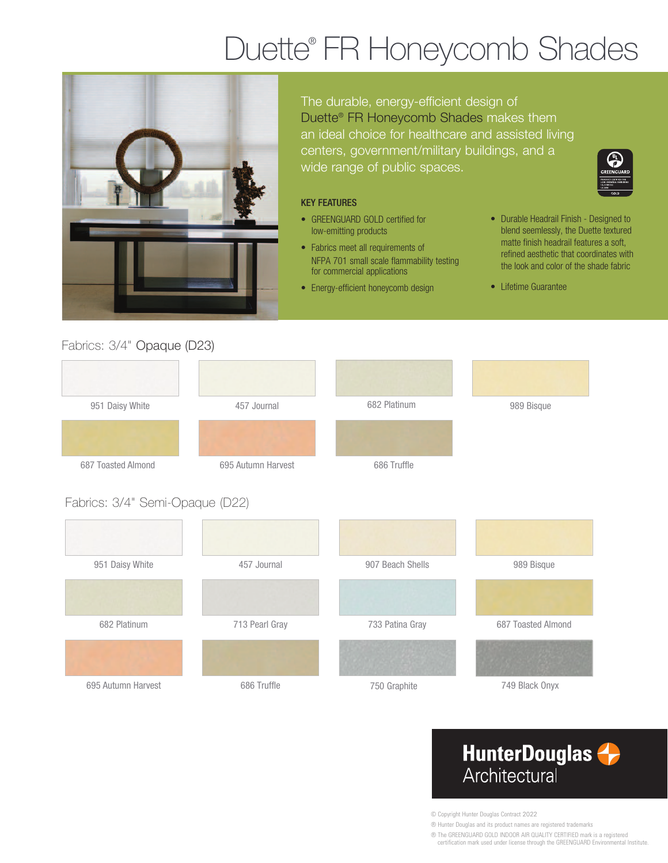# Duette® FR Honeycomb Shades



The durable, energy-efficient design of Duette® FR Honeycomb Shades makes them an ideal choice for healthcare and assisted living centers, government/military buildings, and a wide range of public spaces.

#### KEY FEATURES

- GREENGUARD GOLD certified for low-emitting products
- Fabrics meet all requirements of NFPA 701 small scale flammability testing for commercial applications
- Energy-efficient honeycomb design
- Durable Headrail Finish Designed to blend seemlessly, the Duette textured matte finish headrail features a soft, refined aesthetic that coordinates with the look and color of the shade fabric
- Lifetime Guarantee

### Fabrics: 3/4" Opaque (D23)

| 951 Daisy White                 | 457 Journal        | 682 Platinum     | 989 Bisque         |
|---------------------------------|--------------------|------------------|--------------------|
|                                 |                    |                  |                    |
| 687 Toasted Almond              | 695 Autumn Harvest | 686 Truffle      |                    |
| Fabrics: 3/4" Semi-Opaque (D22) |                    |                  |                    |
| 951 Daisy White                 | 457 Journal        | 907 Beach Shells | 989 Bisque         |
|                                 |                    |                  |                    |
| 682 Platinum                    | 713 Pearl Gray     | 733 Patina Gray  | 687 Toasted Almond |
|                                 |                    |                  |                    |

695 Autumn Harvest 686 Truffle 750 Graphite 749 Black Onyx







© Copyright Hunter Douglas Contract 2022

® Hunter Douglas and its product names are registered trademarks

® The GREENGUARD GOLD INDOOR AIR QUALITY CERTIFIED mark is a registered

certification mark used under license through the GREENGUARD Environmental Institute.